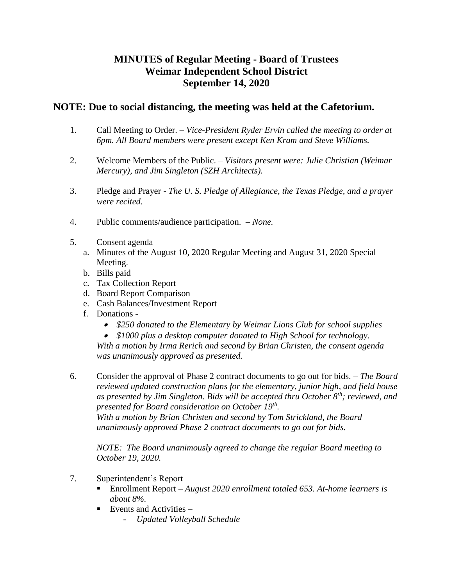## **MINUTES of Regular Meeting - Board of Trustees Weimar Independent School District September 14, 2020**

## **NOTE: Due to social distancing, the meeting was held at the Cafetorium.**

- 1. Call Meeting to Order. *Vice-President Ryder Ervin called the meeting to order at 6pm. All Board members were present except Ken Kram and Steve Williams.*
- 2. Welcome Members of the Public. *Visitors present were: Julie Christian (Weimar Mercury), and Jim Singleton (SZH Architects).*
- 3. Pledge and Prayer *The U. S. Pledge of Allegiance, the Texas Pledge, and a prayer were recited.*
- 4. Public comments/audience participation. *None.*
- 5. Consent agenda
	- a. Minutes of the August 10, 2020 Regular Meeting and August 31, 2020 Special Meeting.
	- b. Bills paid
	- c. Tax Collection Report
	- d. Board Report Comparison
	- e. Cash Balances/Investment Report
	- f. Donations
		- *\$250 donated to the Elementary by Weimar Lions Club for school supplies*
		- *\$1000 plus a desktop computer donated to High School for technology.*

*With a motion by Irma Rerich and second by Brian Christen, the consent agenda was unanimously approved as presented.* 

6. Consider the approval of Phase 2 contract documents to go out for bids. – *The Board reviewed updated construction plans for the elementary, junior high, and field house as presented by Jim Singleton. Bids will be accepted thru October 8th; reviewed, and presented for Board consideration on October 19th . With a motion by Brian Christen and second by Tom Strickland, the Board unanimously approved Phase 2 contract documents to go out for bids.*

*NOTE: The Board unanimously agreed to change the regular Board meeting to October 19, 2020.*

- 7. Superintendent's Report
	- Enrollment Report *August 2020 enrollment totaled 653. At-home learners is about 8%.*
	- Events and Activities
		- *Updated Volleyball Schedule*